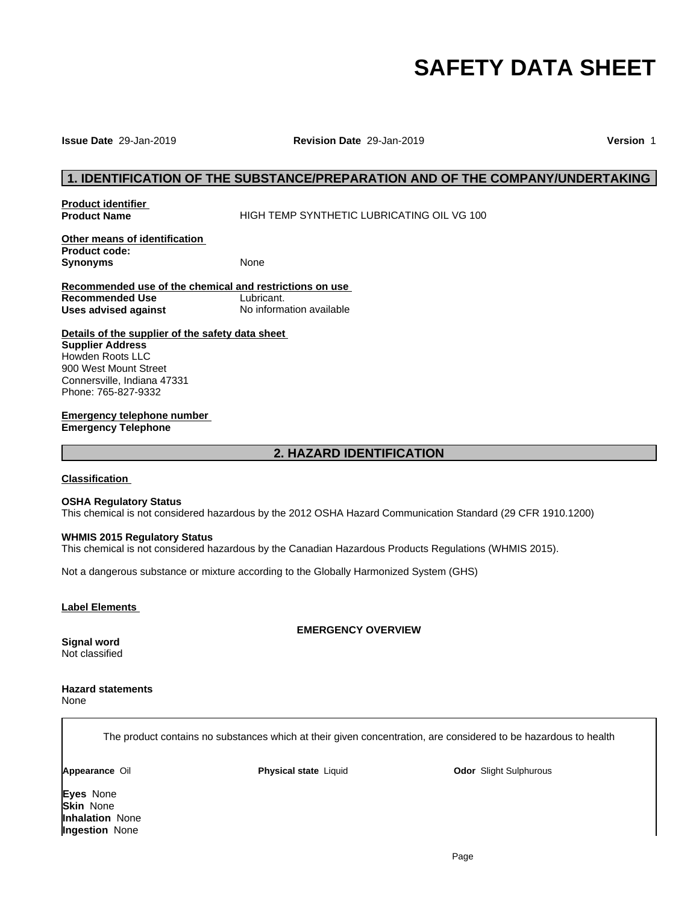# **SAFETY DATA SHEET**

### **Issue Date** 29-Jan-2019 **Revision Date** 29-Jan-2019 **Version** 1

# **1. IDENTIFICATION OF THE SUBSTANCE/PREPARATION AND OF THE COMPANY/UNDERTAKING<br>1. IDENTIFICATION OF THE SUBSTANCE/PREPARATION AND OF THE COMPANY/UNDERTAKING<br>1. Indust Name HIGH TEMP SYNTHETIC LUBRICATING OIL VG 100**

**Product identifier** 

**HIGH TEMP SYNTHETIC LUBRICATING OIL VG 100** 

**Other means of identification Product code: Synonyms** None

**Recommended use of the chemical and restrictions on use Recommended Use** Lubricant. **Uses advised against** No information available trictions on use<br><u>nt.</u><br>mation available<br>eet<br>2. HAZARD IDENTIFICATION

**Details of the supplier of the safety data sheet Supplier Address** Howden Roots LLC 900 West Mount Street Connersville, Indiana 47331 Phone: 765-827-9332

**Emergency telephone number Emergency Telephone**

### **Classification**

### **OSHA Regulatory Status**

This chemical is not considered hazardous by the 2012 OSHA Hazard Communication Standard (29 CFR 1910.1200)

### **WHMIS 2015 Regulatory Status**

This chemical is not considered hazardous by the Canadian Hazardous Products Regulations (WHMIS 2015).

Not a dangerous substance or mixture according to the Globally Harmonized System (GHS)

### **Label Elements**

**EMERGENCY OVERVIEW**

**Signal word** Not classified

### **Hazard statements** None

The product contains no substances which at their given concentration, are considered to be hazardous to health

**Appearance** Oil **Physical state** Liquid

**Odor** Slight Sulphurous

**Eyes** None **Skin** None **Inhalation** None **Ingestion** None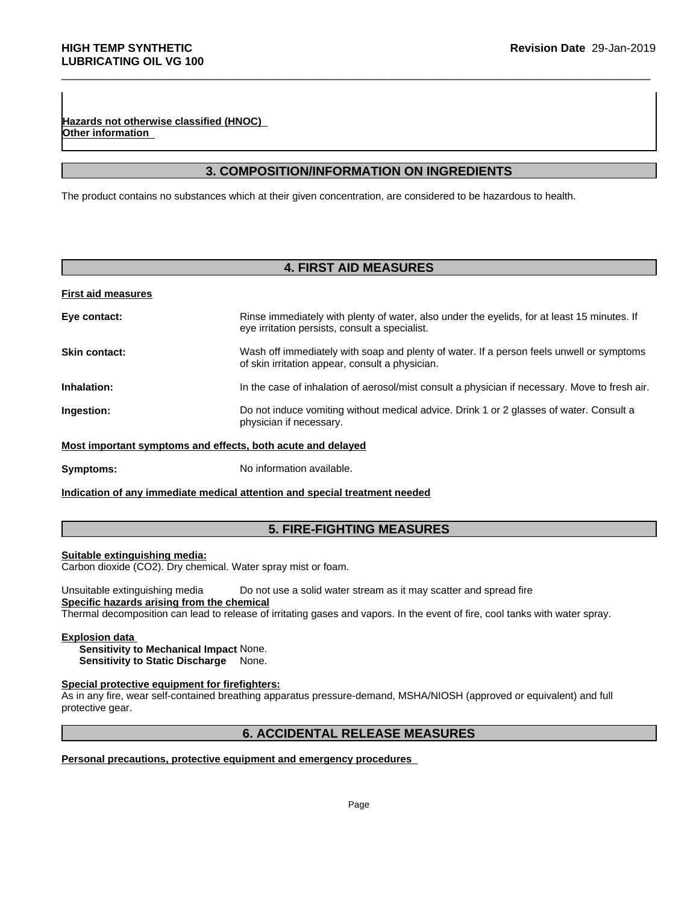**Revision Date 29-Jan-2019**<br> **3. COMPOSITION/INFORMATION ON INGREDIENTS**<br> **3. COMPOSITION/INFORMATION ON INGREDIENTS**<br>
The process which at their given concentration, are considered to be hazardous to health. The product contains no substances which at their given concentration, are considered to be hazardous to health.

### **First aid measures**

| Hazards not otherwise classified (HNOC) |                                                                                                                                               |
|-----------------------------------------|-----------------------------------------------------------------------------------------------------------------------------------------------|
| Other information                       |                                                                                                                                               |
|                                         | <b>3. COMPOSITION/INFORMATION ON INGREDIENTS</b>                                                                                              |
|                                         | The product contains no substances which at their given concentration, are considered to be hazardous to health.                              |
|                                         |                                                                                                                                               |
|                                         |                                                                                                                                               |
|                                         | <b>4. FIRST AID MEASURES</b>                                                                                                                  |
| <b>First aid measures</b>               |                                                                                                                                               |
| Eye contact:                            | Rinse immediately with plenty of water, also under the eyelids, for at least 15 minutes. If<br>eye irritation persists, consult a specialist. |
| Skin contact:                           | Wash off immediately with soap and plenty of water. If a person feels unwell or symptoms<br>of skin irritation appear, consult a physician.   |
| Inhalation:                             | In the case of inhalation of aerosol/mist consult a physician if necessary. Move to fresh air.                                                |
| Ingestion:                              | Do not induce vomiting without medical advice. Drink 1 or 2 glasses of water. Consult a<br>physician if necessary.                            |
|                                         | Most important symptoms and effects, both acute and delayed                                                                                   |
| Symptoms:                               | No information available.                                                                                                                     |
|                                         | Indication of any immediate medical attention and special treatment needed                                                                    |
|                                         |                                                                                                                                               |
|                                         | <b>5. FIRE-FIGHTING MEASURES</b>                                                                                                              |

### **Suitable extinguishing media:**

Unsuitable extinguishing media Do not use a solid water stream as it may scatter and spread fire **Specific hazards arising from the chemical** ater spray mist or foam.<br>
Do not use a solid water stream as it may scatter and spread fire<br>
<u>mical</u><br>
sase of irritating gases and vapors. In the event of fire, cool tanks with water spray.<br>
None.<br> **ighters:**<br>
hing apparat

Thermal decomposition can lead to release of irritating gases and vapors. In the event of fire, cool tanks with water spray.

### **Explosion data**

**Sensitivity to Mechanical Impact** None. **Sensitivity to Static Discharge** None.

# **Special protective equipment for firefighters:**

As in any fire, wear self-contained breathing apparatus pressure-demand, MSHA/NIOSH (approved or equivalent) and full protective gear.

# **Personal precautions, protective equipment and emergency procedures**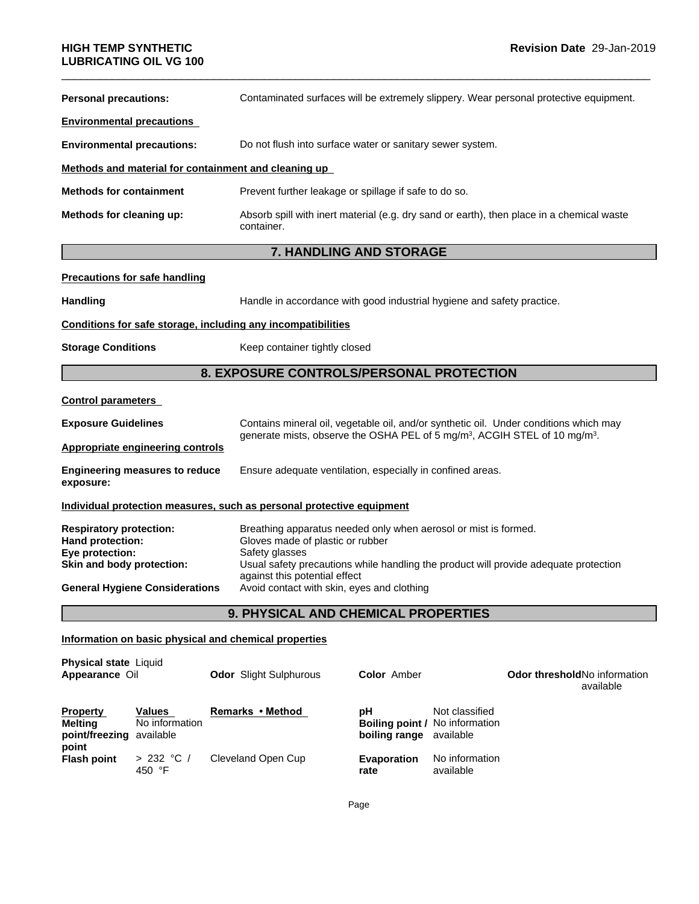| <b>LUBRICATING OIL VG 100</b>                                                                      |                                                                                                                                                                                                                                                |  |
|----------------------------------------------------------------------------------------------------|------------------------------------------------------------------------------------------------------------------------------------------------------------------------------------------------------------------------------------------------|--|
| <b>Personal precautions:</b>                                                                       | Contaminated surfaces will be extremely slippery. Wear personal protective equipment.                                                                                                                                                          |  |
| <b>Environmental precautions</b>                                                                   |                                                                                                                                                                                                                                                |  |
| <b>Environmental precautions:</b>                                                                  | Do not flush into surface water or sanitary sewer system.                                                                                                                                                                                      |  |
| Methods and material for containment and cleaning up                                               |                                                                                                                                                                                                                                                |  |
| <b>Methods for containment</b>                                                                     | Prevent further leakage or spillage if safe to do so.                                                                                                                                                                                          |  |
| Methods for cleaning up:                                                                           | Absorb spill with inert material (e.g. dry sand or earth), then place in a chemical waste<br>container.                                                                                                                                        |  |
|                                                                                                    | 7. HANDLING AND STORAGE                                                                                                                                                                                                                        |  |
| <b>Precautions for safe handling</b>                                                               |                                                                                                                                                                                                                                                |  |
| <b>Handling</b>                                                                                    | Handle in accordance with good industrial hygiene and safety practice.                                                                                                                                                                         |  |
| Conditions for safe storage, including any incompatibilities                                       |                                                                                                                                                                                                                                                |  |
| <b>Storage Conditions</b>                                                                          | Keep container tightly closed                                                                                                                                                                                                                  |  |
|                                                                                                    | 8. EXPOSURE CONTROLS/PERSONAL PROTECTION                                                                                                                                                                                                       |  |
| <b>Control parameters</b>                                                                          |                                                                                                                                                                                                                                                |  |
| <b>Exposure Guidelines</b>                                                                         | Contains mineral oil, vegetable oil, and/or synthetic oil. Under conditions which may<br>generate mists, observe the OSHA PEL of 5 mg/m <sup>3</sup> , ACGIH STEL of 10 mg/m <sup>3</sup> .                                                    |  |
| <b>Appropriate engineering controls</b>                                                            |                                                                                                                                                                                                                                                |  |
| <b>Engineering measures to reduce</b><br>exposure:                                                 | Ensure adequate ventilation, especially in confined areas.                                                                                                                                                                                     |  |
|                                                                                                    | Individual protection measures, such as personal protective equipment                                                                                                                                                                          |  |
| <b>Respiratory protection:</b><br>Hand protection:<br>Eye protection:<br>Skin and body protection: | Breathing apparatus needed only when aerosol or mist is formed.<br>Gloves made of plastic or rubber<br>Safety glasses<br>Usual safety precautions while handling the product will provide adequate protection<br>against this potential effect |  |
| <b>General Hygiene Considerations</b>                                                              | Avoid contact with skin, eyes and clothing                                                                                                                                                                                                     |  |
|                                                                                                    | 9. PHYSICAL AND CHEMICAL PROPERTIES                                                                                                                                                                                                            |  |
| Information on basic physical and chemical properties                                              |                                                                                                                                                                                                                                                |  |
| <b>Physical state Liquid</b>                                                                       |                                                                                                                                                                                                                                                |  |

|                                 | <b>Odor</b> Slight Sulphurous                                              | <b>Color</b> Amber         |                             | <b>Odor threshold No information</b><br>available                       |
|---------------------------------|----------------------------------------------------------------------------|----------------------------|-----------------------------|-------------------------------------------------------------------------|
| <b>Values</b><br>No information | Remarks • Method                                                           | рH                         | Not classified              |                                                                         |
| > 232 °C /<br>450 °F            | Cleveland Open Cup                                                         | <b>Evaporation</b><br>rate | No information<br>available |                                                                         |
|                                 | <b>Physical state Liquid</b><br>Appearance Oil<br>point/freezing available |                            |                             | <b>Boiling point / No information</b><br><b>boiling range</b> available |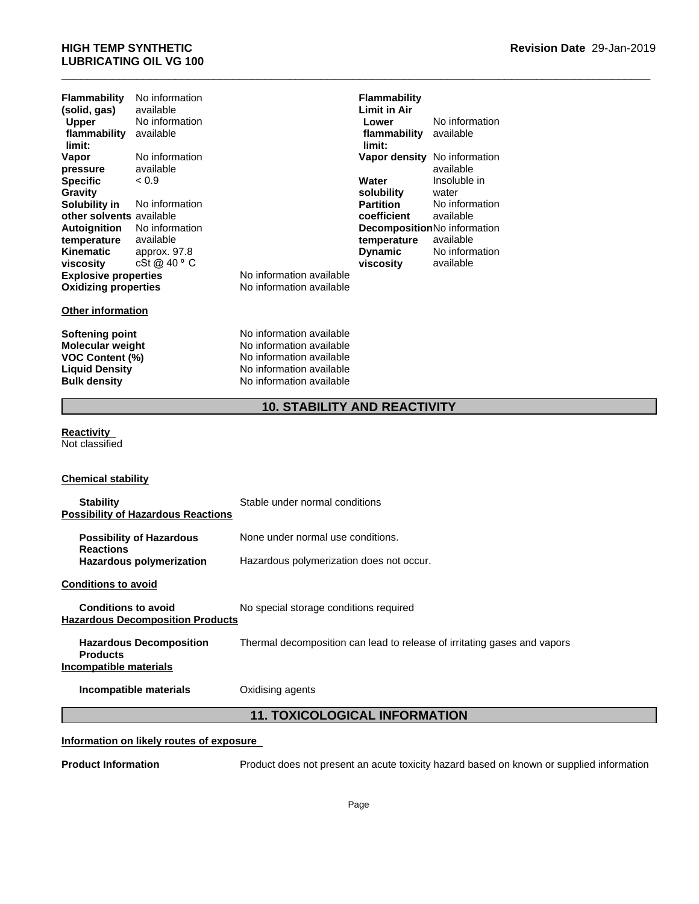# \_\_\_\_\_\_\_\_\_\_\_\_\_\_\_\_\_\_\_\_\_\_\_\_\_\_\_\_\_\_\_\_\_\_\_\_\_\_\_\_\_\_\_\_\_\_\_\_\_\_\_\_\_\_\_\_\_\_\_\_\_\_\_\_\_\_\_\_\_\_\_\_\_\_\_\_\_\_\_\_\_\_\_\_\_\_\_\_\_\_\_\_\_ **HIGH TEMP SYNTHETIC LUBRICATING OIL VG 100**

| <b>Flammability</b>         | No information |                          |
|-----------------------------|----------------|--------------------------|
| (solid, gas)                | available      |                          |
| <b>Upper</b>                | No information |                          |
| flammability                | available      |                          |
| limit:                      |                |                          |
| Vapor                       | No information |                          |
| pressure                    | available      |                          |
| <b>Specific</b>             | < 0.9          |                          |
| Gravity                     |                |                          |
| Solubility in               | No information |                          |
| other solvents available    |                |                          |
| Autoignition                | No information |                          |
| temperature                 | available      |                          |
| Kinematic                   | approx. 97.8   |                          |
| viscosity                   | cSt @ 40 ° C   |                          |
| <b>Explosive properties</b> |                | No information available |
| <b>Oxidizing properties</b> |                | No information available |
|                             |                |                          |

### **Other information**

**Softening point No information available**<br> **Molecular weight No information available Molecular weight** No information available<br> **VOC Content (%)** No information available **VOC Content (%)**<br> **Liquid Density**<br> **No information available**<br>
No information available **No information available Bulk density** No information available

**10. STABILITY AND REACTIVITY<br>
10. STABILITY AND REACTIVITY<br>
10. STABILITY AND REACTIVITY<br>
10. STABILITY AND REACTIVITY<br>
10. STABILITY AND REACTIVITY Flammability Limit in Air Lower** No information **flammability limit:** available **Vapor density** No information available < 0.9 **Water solubility** Insoluble in water **Partition** No information **coefficient** available **Decomposition** No information **temperature** available cSt @ 40 ⁰C **viscosity Dynamic** No information available

# **Reactivity**

Not classified

### **Chemical stability**

| <b>Stability</b><br><b>Possibility of Hazardous Reactions</b>               | Stable under normal conditions                                                           |  |
|-----------------------------------------------------------------------------|------------------------------------------------------------------------------------------|--|
| <b>Possibility of Hazardous</b><br><b>Reactions</b>                         | None under normal use conditions.                                                        |  |
| <b>Hazardous polymerization</b>                                             | Hazardous polymerization does not occur.                                                 |  |
| <b>Conditions to avoid</b>                                                  |                                                                                          |  |
| <b>Conditions to avoid</b><br><b>Hazardous Decomposition Products</b>       | No special storage conditions required                                                   |  |
| <b>Hazardous Decomposition</b><br><b>Products</b><br>Incompatible materials | Thermal decomposition can lead to release of irritating gases and vapors                 |  |
| Incompatible materials                                                      | Oxidising agents                                                                         |  |
| <b>11. TOXICOLOGICAL INFORMATION</b>                                        |                                                                                          |  |
| Information on likely routes of exposure                                    |                                                                                          |  |
| <b>Product Information</b>                                                  | Product does not present an acute toxicity hazard based on known or supplied information |  |

# **Information on likely routes of exposure**

**Product Information** Product does not present an acute toxicity hazard based on known or supplied information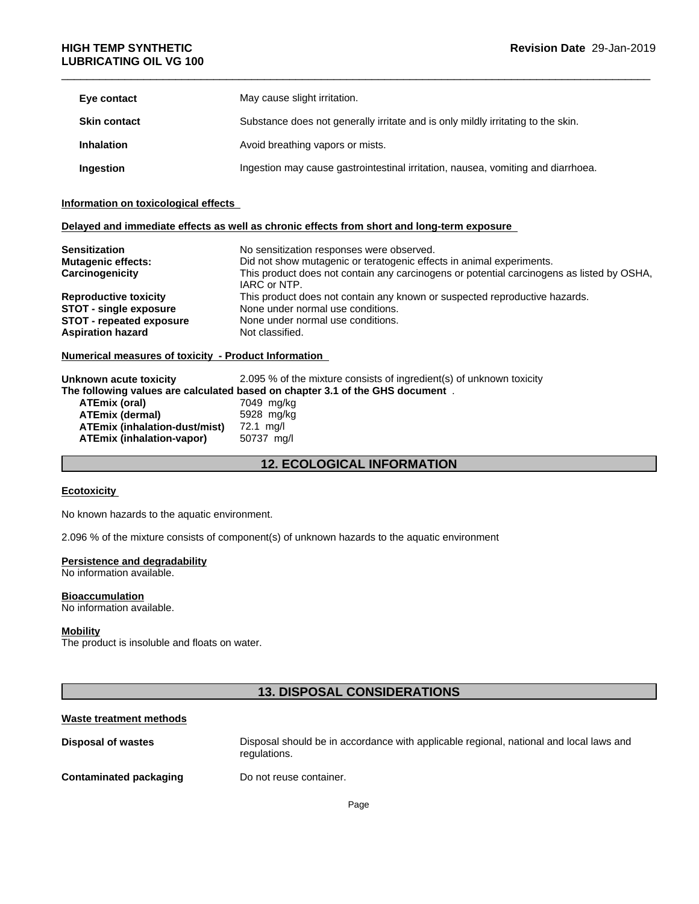| Eye contact         | May cause slight irritation.                                                     |
|---------------------|----------------------------------------------------------------------------------|
| <b>Skin contact</b> | Substance does not generally irritate and is only mildly irritating to the skin. |
| <b>Inhalation</b>   | Avoid breathing vapors or mists.                                                 |
| Ingestion           | Ingestion may cause gastrointestinal irritation, nausea, vomiting and diarrhoea. |

### **Information on toxicological effects**

# **Delayed and immediate effects as well as chronic effects from short and long-term exposure**

| <b>Sensitization</b>                                                                              | No sensitization responses were observed.                                                                 |  |  |
|---------------------------------------------------------------------------------------------------|-----------------------------------------------------------------------------------------------------------|--|--|
| Did not show mutagenic or teratogenic effects in animal experiments.<br><b>Mutagenic effects:</b> |                                                                                                           |  |  |
| Carcinogenicity                                                                                   | This product does not contain any carcinogens or potential carcinogens as listed by OSHA,<br>IARC or NTP. |  |  |
| <b>Reproductive toxicity</b>                                                                      | This product does not contain any known or suspected reproductive hazards.                                |  |  |
| <b>STOT - single exposure</b>                                                                     | None under normal use conditions.                                                                         |  |  |
| <b>STOT - repeated exposure</b>                                                                   | None under normal use conditions.                                                                         |  |  |
| <b>Aspiration hazard</b><br>Not classified.                                                       |                                                                                                           |  |  |
| <b>Numerical measures of toxicity - Product Information</b>                                       |                                                                                                           |  |  |
| Unknown acute toxicity                                                                            | 2.095 % of the mixture consists of ingredient(s) of unknown toxicity                                      |  |  |
|                                                                                                   | The following values are calculated based on chapter 3.1 of the GHS document.                             |  |  |
| ATEmix (oral)                                                                                     | 7049 mg/kg                                                                                                |  |  |
| <b>ATEmix (dermal)</b>                                                                            | 5928 mg/kg                                                                                                |  |  |
| ATEmix (inhalation-dust/mist)                                                                     | 72.1 mg/l                                                                                                 |  |  |
| <b>ATEmix (inhalation-vapor)</b>                                                                  | 50737 mg/l                                                                                                |  |  |
|                                                                                                   | <b>12. ECOLOGICAL INFORMATION</b>                                                                         |  |  |
| <b>Ecotoxicity</b>                                                                                |                                                                                                           |  |  |
|                                                                                                   |                                                                                                           |  |  |
| No known hazards to the aquatic environment                                                       |                                                                                                           |  |  |

### **Numerical measures of toxicity - Product Information**

| Unknown acute toxicity           | 2.095 % of the mixture consists of ingredient(s) of unknown toxicity          |
|----------------------------------|-------------------------------------------------------------------------------|
|                                  | The following values are calculated based on chapter 3.1 of the GHS document. |
| ATEmix (oral)                    | 7049 mg/kg                                                                    |
| <b>ATEmix (dermal)</b>           | 5928 mg/kg                                                                    |
| ATEmix (inhalation-dust/mist)    | 72.1 mg/l                                                                     |
| <b>ATEmix (inhalation-vapor)</b> | 50737 mg/l                                                                    |

### **Ecotoxicity**

# **Persistence and degradability**

### **Bioaccumulation**

# **Mobility**

### **Waste treatment methods**

| LUULUAIUILY                                                      |                                                                                                        |
|------------------------------------------------------------------|--------------------------------------------------------------------------------------------------------|
| No known hazards to the aquatic environment.                     |                                                                                                        |
|                                                                  | 2.096 % of the mixture consists of component(s) of unknown hazards to the aquatic environment          |
| Persistence and degradability<br>No information available.       |                                                                                                        |
| <b>Bioaccumulation</b><br>No information available.              |                                                                                                        |
| <b>Mobility</b><br>The product is insoluble and floats on water. |                                                                                                        |
|                                                                  | <b>13. DISPOSAL CONSIDERATIONS</b>                                                                     |
| <b>Waste treatment methods</b>                                   |                                                                                                        |
| <b>Disposal of wastes</b>                                        | Disposal should be in accordance with applicable regional, national and local laws and<br>regulations. |
| <b>Contaminated packaging</b>                                    | Do not reuse container.                                                                                |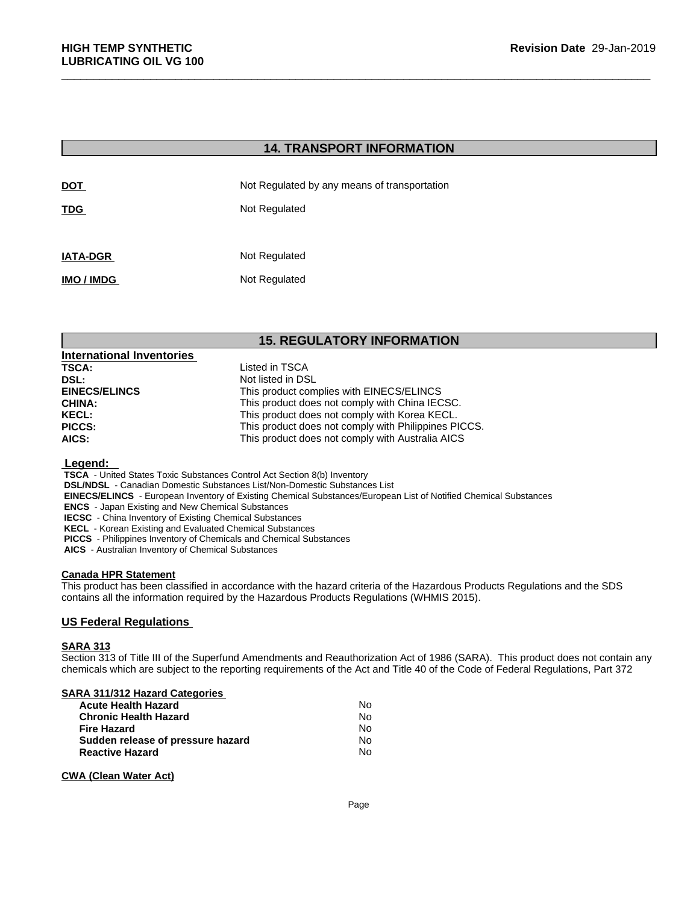| <b>HIGH TEMP SYNTHETIC</b><br><b>LUBRICATING OIL VG 100</b> |                                              | Revision Date 29-Jan- |
|-------------------------------------------------------------|----------------------------------------------|-----------------------|
|                                                             |                                              |                       |
|                                                             | <b>14. TRANSPORT INFORMATION</b>             |                       |
| <b>DOT</b>                                                  | Not Regulated by any means of transportation |                       |
| <b>TDG</b>                                                  | Not Regulated                                |                       |
| <b>IATA-DGR</b>                                             | Not Regulated                                |                       |
| IMO / IMDG                                                  | Not Regulated                                |                       |
|                                                             |                                              |                       |
|                                                             | <b>15. REGULATORY INFORMATION</b>            |                       |
| <b>International Inventories</b>                            |                                              |                       |
| <b>TSCA:</b><br>DSL:                                        | Listed in TSCA<br>Not listed in DSL          |                       |
| <b>FINECS/FI INCS</b>                                       | This product complies with FINECS/FLINCS     |                       |

| <b>International Inventories</b> |                                                      |
|----------------------------------|------------------------------------------------------|
| <b>TSCA:</b>                     | Listed in TSCA                                       |
| DSL:                             | Not listed in DSL                                    |
| <b>EINECS/ELINCS</b>             | This product complies with EINECS/ELINCS             |
| <b>CHINA:</b>                    | This product does not comply with China IECSC.       |
| <b>KECL:</b>                     | This product does not comply with Korea KECL.        |
| <b>PICCS:</b>                    | This product does not comply with Philippines PICCS. |
| AICS:                            | This product does not comply with Australia AICS     |

### **Legend:**

 **TSCA** - United States Toxic Substances Control Act Section 8(b) Inventory

 **DSL/NDSL** - Canadian Domestic Substances List/Non-Domestic Substances List

 **EINECS/ELINCS** - European Inventory of Existing Chemical Substances/European List of Notified Chemical Substances

 **ENCS** - Japan Existing and New Chemical Substances

 **IECSC** - China Inventory of Existing Chemical Substances

 **KECL** - Korean Existing and Evaluated Chemical Substances

 **PICCS** - Philippines Inventory of Chemicals and Chemical Substances

 **AICS** - Australian Inventory of Chemical Substances

### **Canada HPR Statement**

This product has been classified in accordance with the hazard criteria of the Hazardous Products Regulations and the SDS contains all the information required by the Hazardous Products Regulations (WHMIS 2015).

# **US Federal Regulations**

# **SARA 313**

Section 313 of Title III of the Superfund Amendments and Reauthorization Act of 1986 (SARA). This product does not contain any chemicals which are subject to the reporting requirements of the Act and Title 40 of the Code of Federal Regulations, Part 372

## **SARA 311/312 Hazard Categories**

| <b>Acute Health Hazard</b>        | Nο |
|-----------------------------------|----|
| <b>Chronic Health Hazard</b>      | Nο |
| <b>Fire Hazard</b>                | Nο |
| Sudden release of pressure hazard | Nο |
| <b>Reactive Hazard</b>            | N٥ |

# **CWA (Clean Water Act)**